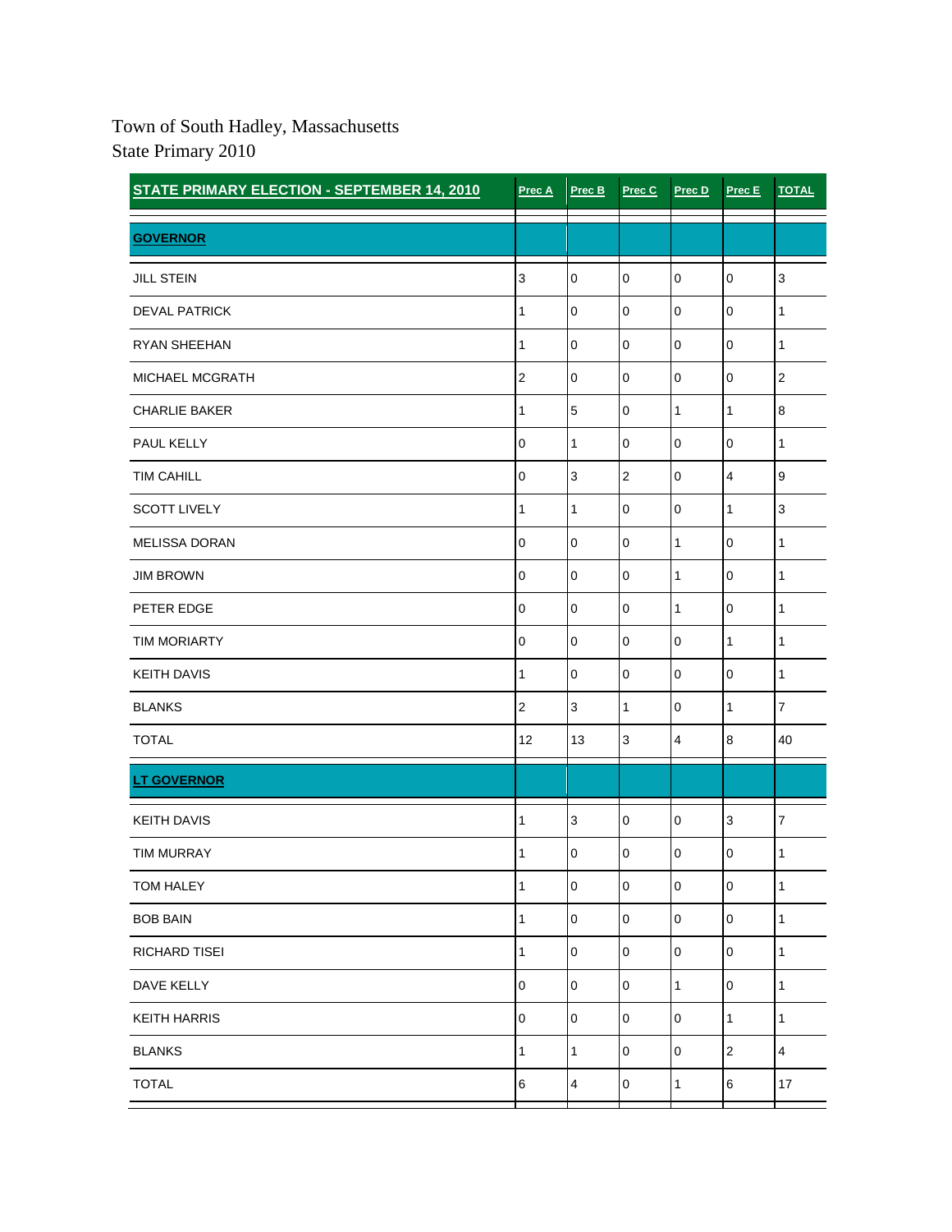## Town of South Hadley, Massachusetts State Primary 2010

| <b>STATE PRIMARY ELECTION - SEPTEMBER 14, 2010</b> | Prec A                    | Prec B                  | Prec C         | Prec D           | Prec E         | <b>TOTAL</b>   |
|----------------------------------------------------|---------------------------|-------------------------|----------------|------------------|----------------|----------------|
| <b>GOVERNOR</b>                                    |                           |                         |                |                  |                |                |
| <b>JILL STEIN</b>                                  | $\ensuremath{\mathsf{3}}$ | $\mathbf 0$             | $\mathbf 0$    | $\boldsymbol{0}$ | $\mathbf 0$    | $\mathsf 3$    |
| <b>DEVAL PATRICK</b>                               | 1                         | $\mathbf 0$             | $\mathbf 0$    | $\bf 0$          | $\mathbf 0$    | 1              |
| <b>RYAN SHEEHAN</b>                                | $\mathbf{1}$              | $\pmb{0}$               | $\mathbf 0$    | $\pmb{0}$        | $\overline{0}$ | 1              |
| MICHAEL MCGRATH                                    | $\overline{2}$            | 0                       | $\mathbf 0$    | $\mathbf{0}$     | $\overline{0}$ | $\overline{2}$ |
| <b>CHARLIE BAKER</b>                               | 1                         | 5                       | $\mathbf 0$    | $\mathbf{1}$     | $\mathbf{1}$   | 8              |
| PAUL KELLY                                         | $\pmb{0}$                 | 1                       | $\mathbf 0$    | $\mathbf 0$      | $\mathbf 0$    | 1              |
| <b>TIM CAHILL</b>                                  | $\mathbf 0$               | 3                       | $\overline{2}$ | $\overline{0}$   | $\overline{4}$ | 9              |
| <b>SCOTT LIVELY</b>                                | $\mathbf{1}$              | 1                       | $\pmb{0}$      | $\bf 0$          | $\mathbf{1}$   | $\mathbf{3}$   |
| <b>MELISSA DORAN</b>                               | $\mathbf 0$               | $\mathbf 0$             | $\mathbf 0$    | $\mathbf{1}$     | $\mathbf 0$    | 1              |
| <b>JIM BROWN</b>                                   | $\mathbf 0$               | $\mathbf 0$             | $\pmb{0}$      | $\mathbf{1}$     | $\overline{0}$ | 1              |
| PETER EDGE                                         | $\mathbf 0$               | 0                       | $\mathbf 0$    | $\mathbf{1}$     | $\mathbf 0$    | 1              |
| <b>TIM MORIARTY</b>                                | $\pmb{0}$                 | $\mathbf 0$             | $\pmb{0}$      | $\mathbf 0$      | $\mathbf{1}$   | $\mathbf{1}$   |
| <b>KEITH DAVIS</b>                                 | 1                         | 0                       | $\mathbf 0$    | $\bf 0$          | $\mathbf 0$    | $\mathbf{1}$   |
| <b>BLANKS</b>                                      | $\overline{2}$            | 3                       | $\mathbf{1}$   | $\mathbf 0$      | $\mathbf{1}$   | $\overline{7}$ |
| <b>TOTAL</b>                                       | 12                        | 13                      | $\mathsf 3$    | 4                | 8              | 40             |
| <b>LT GOVERNOR</b>                                 |                           |                         |                |                  |                |                |
| <b>KEITH DAVIS</b>                                 | 1                         | $\mathbf{3}$            | $\mathbf 0$    | $\overline{0}$   | 3              | $\overline{7}$ |
| <b>TIM MURRAY</b>                                  | 1                         | 0                       | 0              | $\mathbf 0$      | 0              | 1              |
| TOM HALEY                                          | 1                         | $\pmb{0}$               | $\pmb{0}$      | $\mathbf 0$      | $\overline{0}$ | 1              |
| <b>BOB BAIN</b>                                    | 1                         | $\pmb{0}$               | $\mathbf 0$    | $\mathsf 0$      | $\overline{0}$ | $\mathbf{1}$   |
| <b>RICHARD TISEI</b>                               | $\mathbf{1}$              | $\pmb{0}$               | $\mathbf 0$    | $\mathsf 0$      | $\mathbf 0$    | $\mathbf{1}$   |
| DAVE KELLY                                         | $\mathbf 0$               | $\mathbf 0$             | $\mathbf 0$    | $\mathbf{1}$     | $\overline{0}$ | $\mathbf{1}$   |
| <b>KEITH HARRIS</b>                                | $\pmb{0}$                 | 0                       | 0              | $\overline{0}$   | $\mathbf{1}$   | $\mathbf{1}$   |
| <b>BLANKS</b>                                      | 1                         | $\mathbf{1}$            | $\mathbf 0$    | $\pmb{0}$        | $\mathbf 2$    | 4              |
| <b>TOTAL</b>                                       | $\,6$                     | $\overline{\mathbf{4}}$ | $\mathbf 0$    | $\mathbf{1}$     | 6              | 17             |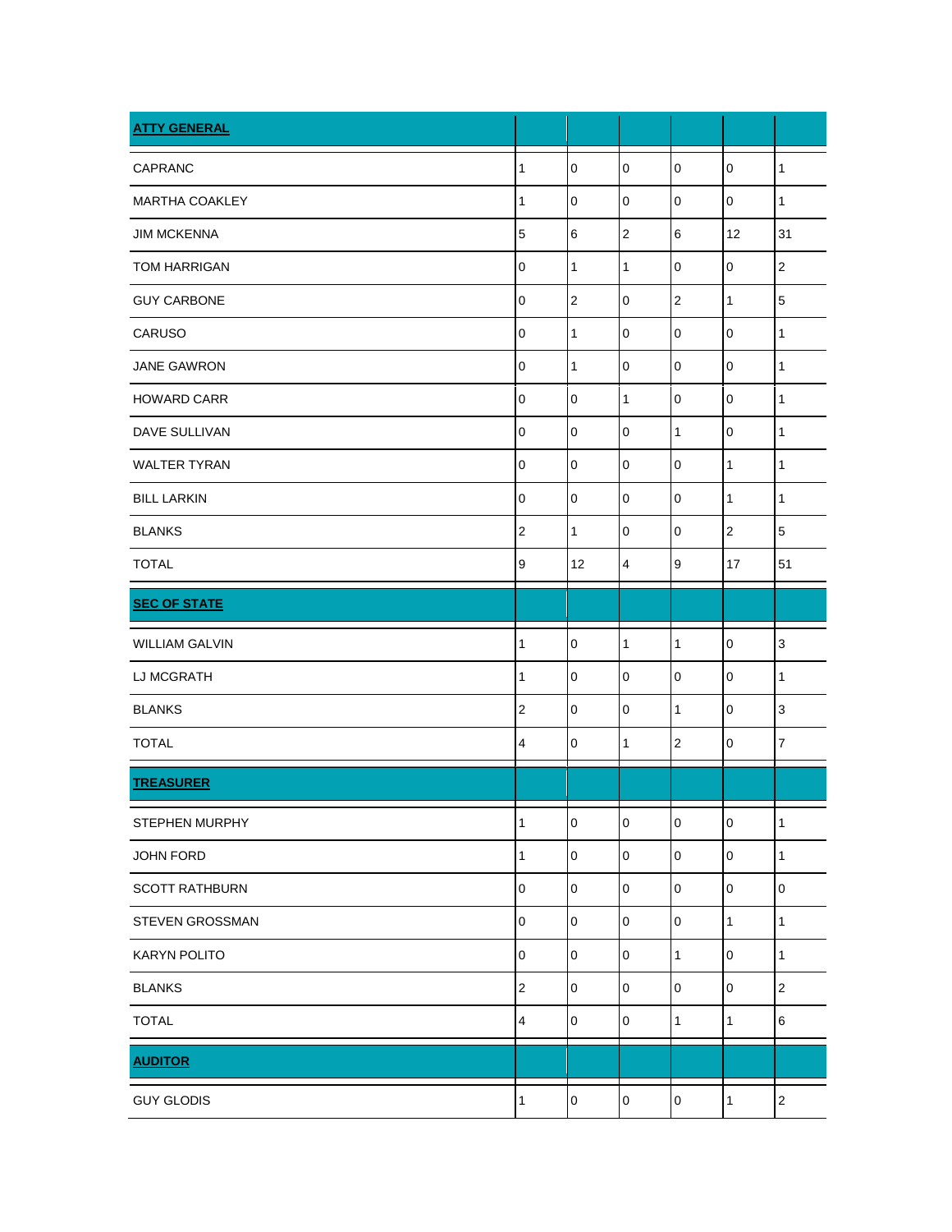| <b>ATTY GENERAL</b>   |                |                     |                         |                  |                |                |
|-----------------------|----------------|---------------------|-------------------------|------------------|----------------|----------------|
| <b>CAPRANC</b>        | 1              | $\overline{0}$      | $\mathbf 0$             | $\pmb{0}$        | $\mathbf 0$    | $\mathbf{1}$   |
| <b>MARTHA COAKLEY</b> | 1              | $\pmb{0}$           | $\pmb{0}$               | $\mathbf 0$      | $\pmb{0}$      | $\mathbf{1}$   |
| <b>JIM MCKENNA</b>    | 5              | 6                   | $\overline{\mathbf{c}}$ | $\,6$            | 12             | 31             |
| <b>TOM HARRIGAN</b>   | 0              | $\mathbf{1}$        | 1                       | $\mathbf 0$      | 0              | $\mathbf 2$    |
| <b>GUY CARBONE</b>    | 0              | $\mathbf 2$         | $\mathbf 0$             | $\boldsymbol{2}$ | 1              | 5              |
| CARUSO                | $\mathbf 0$    | $\mathbf{1}$        | $\mathbf 0$             | $\pmb{0}$        | 0              | 1              |
| <b>JANE GAWRON</b>    | 0              | $\mathbf{1}$        | $\mathbf 0$             | $\pmb{0}$        | $\mathbf 0$    | 1              |
| <b>HOWARD CARR</b>    | 0              | $\pmb{0}$           | 1                       | $\pmb{0}$        | $\mathbf 0$    | 1              |
| <b>DAVE SULLIVAN</b>  | $\mathbf 0$    | $\mathbf 0$         | $\mathbf 0$             | $\mathbf{1}$     | $\mathbf 0$    | 1              |
| <b>WALTER TYRAN</b>   | 0              | $\mathbf 0$         | 0                       | $\pmb{0}$        | $\mathbf{1}$   | 1              |
| <b>BILL LARKIN</b>    | $\mathbf 0$    | $\pmb{0}$           | $\mathbf 0$             | $\pmb{0}$        | $\mathbf{1}$   | $\mathbf{1}$   |
| <b>BLANKS</b>         | $\mathbf{2}$   | $\mathbf{1}$        | 0                       | $\boldsymbol{0}$ | 2              | 5              |
| <b>TOTAL</b>          | 9              | 12                  | $\overline{\mathbf{4}}$ | $\boldsymbol{9}$ | 17             | 51             |
| <b>SEC OF STATE</b>   |                |                     |                         |                  |                |                |
| <b>WILLIAM GALVIN</b> | 1              | $\overline{0}$      | 1                       | $\mathbf{1}$     | $\mathbf 0$    | $\mathsf 3$    |
| LJ MCGRATH            | 1              | $\pmb{0}$           | $\mathbf 0$             | $\mathbf 0$      | $\mathbf 0$    | $\mathbf{1}$   |
| <b>BLANKS</b>         | $\overline{c}$ | $\pmb{0}$           | $\mathbf 0$             | $\mathbf{1}$     | 0              | 3              |
| <b>TOTAL</b>          | 4              | $\pmb{0}$           | 1                       | $\overline{c}$   | $\pmb{0}$      | $\overline{7}$ |
| <b>TREASURER</b>      |                |                     |                         |                  |                |                |
| STEPHEN MURPHY        | $\mathbf{1}$   | $\pmb{0}$           | $\mathsf 0$             | $\mathbf 0$      | $\mathsf 0$    | $\mathbf{1}$   |
| JOHN FORD             | 1              | $\mathsf 0$         | $\mathbf 0$             | $\mathbf 0$      | $\mathbf 0$    | 1              |
| <b>SCOTT RATHBURN</b> | 0              | $\mathsf{O}\xspace$ | $\mathbf 0$             | $\mathsf 0$      | $\mathsf 0$    | $\pmb{0}$      |
| STEVEN GROSSMAN       | 0              | $\mathsf{O}\xspace$ | 0                       | $\pmb{0}$        | $\mathbf{1}$   | $\mathbf{1}$   |
| <b>KARYN POLITO</b>   | 0              | $\mathsf 0$         | $\mathbf 0$             | $\mathbf{1}$     | $\overline{0}$ | $\mathbf{1}$   |
| <b>BLANKS</b>         | $\overline{c}$ | $\mathsf 0$         | $\mathbf 0$             | $\mathbf 0$      | $\mathbf 0$    | $\overline{c}$ |
| <b>TOTAL</b>          | 4              | $\mathsf 0$         | $\mathbf 0$             | $\mathbf{1}$     | $\mathbf{1}$   | 6              |
| <b>AUDITOR</b>        |                |                     |                         |                  |                |                |
| <b>GUY GLODIS</b>     | 1              | $\mathbf 0$         | 0                       | $\mathsf 0$      | $\mathbf{1}$   | $\overline{2}$ |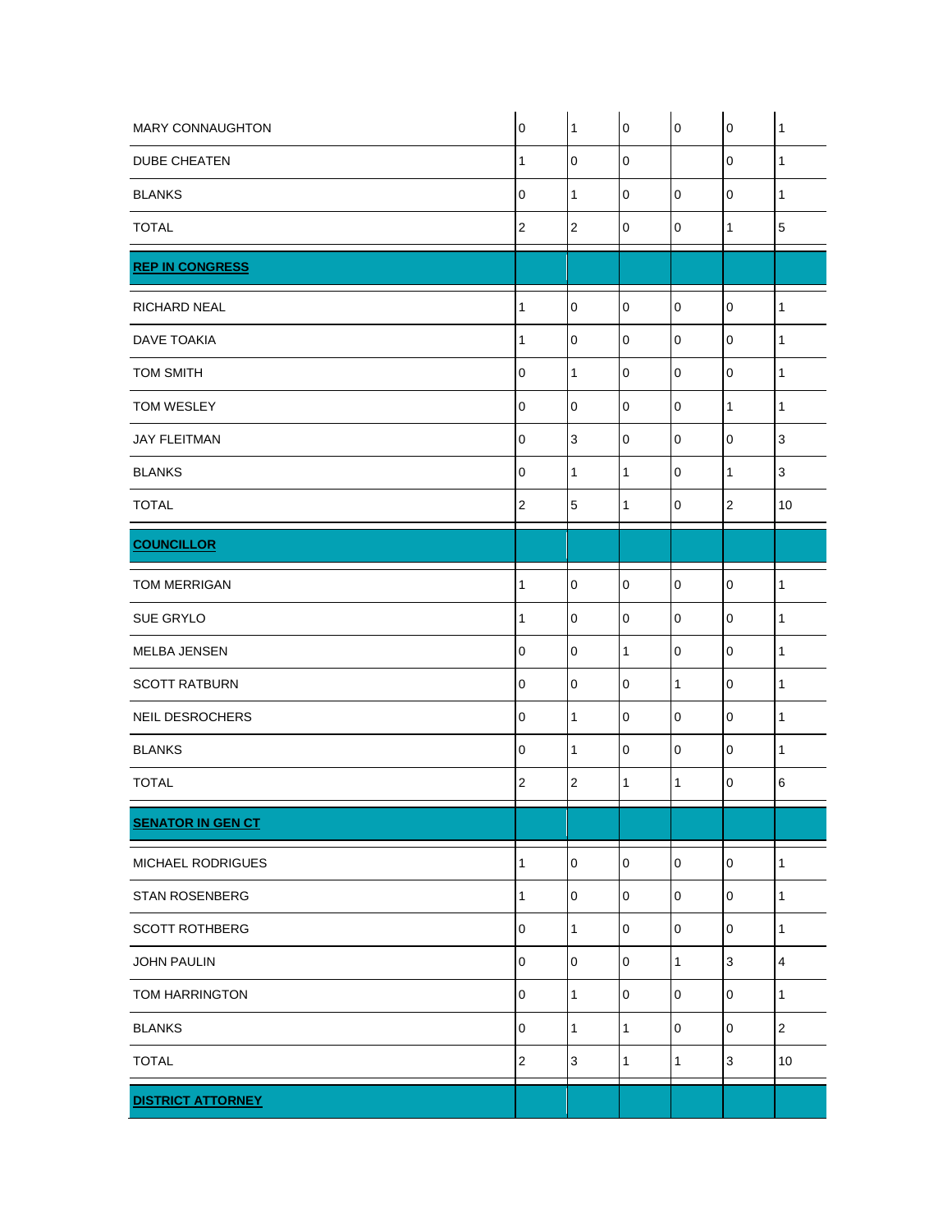| <b>MARY CONNAUGHTON</b>  | $\boldsymbol{0}$ | $\overline{1}$ | $\mathbf 0$  | $\pmb{0}$    | $\pmb{0}$      | $\mathbf{1}$ |
|--------------------------|------------------|----------------|--------------|--------------|----------------|--------------|
| <b>DUBE CHEATEN</b>      | $\mathbf{1}$     | $\pmb{0}$      | $\mathbf 0$  |              | $\overline{0}$ | $\mathbf{1}$ |
| <b>BLANKS</b>            | $\mathbf 0$      | $\mathbf{1}$   | $\mathbf 0$  | $\mathbf 0$  | $\mathbf 0$    | 1            |
| <b>TOTAL</b>             | $\overline{2}$   | $\overline{2}$ | $\mathbf 0$  | $\mathbf 0$  | 1              | 5            |
| <b>REP IN CONGRESS</b>   |                  |                |              |              |                |              |
| <b>RICHARD NEAL</b>      | 1                | $\mathbf 0$    | 0            | $\mathbf 0$  | 0              | 1            |
| <b>DAVE TOAKIA</b>       | 1                | $\mathbf 0$    | $\mathbf 0$  | $\mathbf 0$  | $\overline{0}$ | $\mathbf{1}$ |
| <b>TOM SMITH</b>         | $\mathbf 0$      | $\mathbf{1}$   | $\mathbf 0$  | $\mathbf 0$  | 0              | $\mathbf{1}$ |
| TOM WESLEY               | $\pmb{0}$        | $\pmb{0}$      | $\pmb{0}$    | $\pmb{0}$    | $\mathbf{1}$   | $\mathbf{1}$ |
| <b>JAY FLEITMAN</b>      | $\mathbf 0$      | $\mathbf{3}$   | $\mathbf 0$  | $\mathbf 0$  | $\overline{0}$ | $\mathsf 3$  |
| <b>BLANKS</b>            | $\mathbf 0$      | $\mathbf{1}$   | $\mathbf{1}$ | $\pmb{0}$    | $\mathbf{1}$   | $\mathsf 3$  |
| <b>TOTAL</b>             | $\sqrt{2}$       | $\mathbf 5$    | 1            | $\mathbf 0$  | $\sqrt{2}$     | 10           |
| <b>COUNCILLOR</b>        |                  |                |              |              |                |              |
| <b>TOM MERRIGAN</b>      | 1                | $\pmb{0}$      | $\pmb{0}$    | $\pmb{0}$    | $\overline{0}$ | $\mathbf{1}$ |
| <b>SUE GRYLO</b>         | 1                | $\mathbf 0$    | $\pmb{0}$    | $\mathbf 0$  | $\overline{0}$ | 1            |
| MELBA JENSEN             | $\mathbf 0$      | $\pmb{0}$      | $\mathbf{1}$ | $\mathbf 0$  | $\overline{0}$ | 1            |
| <b>SCOTT RATBURN</b>     | $\pmb{0}$        | $\pmb{0}$      | $\mathbf 0$  | $\mathbf{1}$ | $\pmb{0}$      | $\mathbf{1}$ |
| <b>NEIL DESROCHERS</b>   | $\mathbf 0$      | $\mathbf{1}$   | $\mathbf 0$  | $\mathbf 0$  | $\mathbf 0$    | 1            |
| <b>BLANKS</b>            | $\pmb{0}$        | $\mathbf{1}$   | $\pmb{0}$    | $\mathbf 0$  | $\overline{0}$ | 1            |
| <b>TOTAL</b>             | $\overline{2}$   | 2              | 1            | 1            | 0              | 6            |
| <b>SENATOR IN GEN CT</b> |                  |                |              |              |                |              |
| MICHAEL RODRIGUES        | 1                | $\mathbf 0$    | $\mathbf 0$  | $\pmb{0}$    | $\overline{0}$ | $\mathbf{1}$ |
| STAN ROSENBERG           | 1                | $\mathbf 0$    | 0            | $\mathbf 0$  | 0              | 1            |
| <b>SCOTT ROTHBERG</b>    | $\mathbf 0$      | $\mathbf{1}$   | $\mathbf 0$  | $\pmb{0}$    | $\pmb{0}$      | $\mathbf{1}$ |
| <b>JOHN PAULIN</b>       | 0                | $\mathbf 0$    | $\mathbf 0$  | $\mathbf{1}$ | $\mathsf 3$    | 4            |
| TOM HARRINGTON           | 0                | $\mathbf{1}$   | $\pmb{0}$    | $\pmb{0}$    | $\pmb{0}$      | $\mathbf{1}$ |
| <b>BLANKS</b>            | $\pmb{0}$        | $\mathbf{1}$   | $\mathbf{1}$ | $\mathbf 0$  | $\pmb{0}$      | $\sqrt{2}$   |
| <b>TOTAL</b>             | $\mathbf 2$      | $\mathsf 3$    | $\mathbf{1}$ | $\mathbf{1}$ | $\sqrt{3}$     | 10           |
| <b>DISTRICT ATTORNEY</b> |                  |                |              |              |                |              |